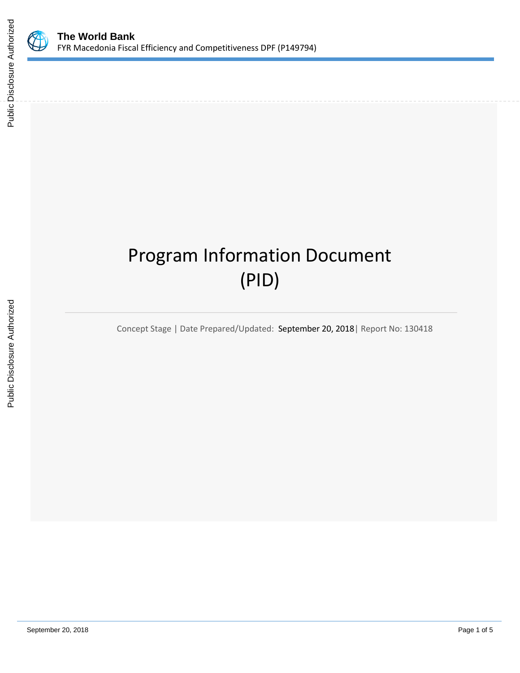

# Program Information Document (PID)

Concept Stage | Date Prepared/Updated: September 20, 2018| Report No: 130418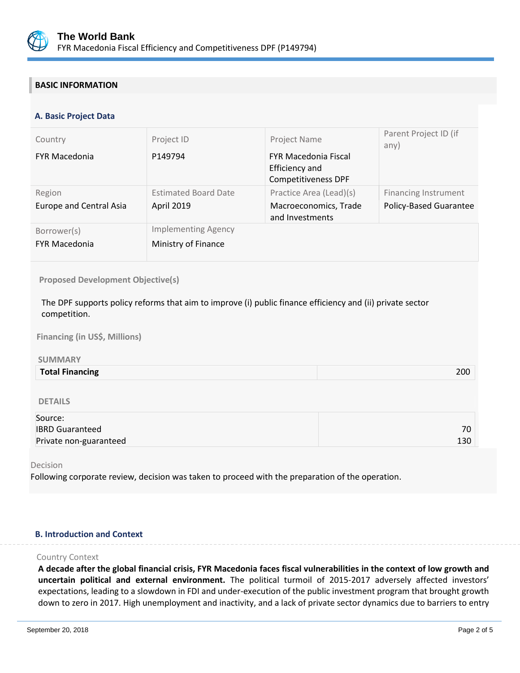

# **BASIC INFORMATION**

# **A. Basic Project Data**

| Country                                  | Project ID                                        | Project Name                                                         | Parent Project ID (if<br>any)                                |
|------------------------------------------|---------------------------------------------------|----------------------------------------------------------------------|--------------------------------------------------------------|
| <b>FYR Macedonia</b>                     | P149794                                           | <b>FYR Macedonia Fiscal</b><br>Efficiency and<br>Competitiveness DPF |                                                              |
| Region<br><b>Europe and Central Asia</b> | <b>Estimated Board Date</b><br><b>April 2019</b>  | Practice Area (Lead)(s)<br>Macroeconomics, Trade<br>and Investments  | <b>Financing Instrument</b><br><b>Policy-Based Guarantee</b> |
| Borrower(s)<br><b>FYR Macedonia</b>      | <b>Implementing Agency</b><br>Ministry of Finance |                                                                      |                                                              |

## **Proposed Development Objective(s)**

The DPF supports policy reforms that aim to improve (i) public finance efficiency and (ii) private sector competition.

**Financing (in US\$, Millions)**

## **SUMMARY**

| 200<br><b>Total Financing</b> |
|-------------------------------|
|-------------------------------|

## DETAILS

| Source:                |     |
|------------------------|-----|
| <b>IBRD Guaranteed</b> | 70  |
| Private non-guaranteed | 130 |

### Decision

Following corporate review, decision was taken to proceed with the preparation of the operation.

# **B. Introduction and Context**

#### Country Context

**A decade after the global financial crisis, FYR Macedonia faces fiscal vulnerabilities in the context of low growth and uncertain political and external environment.** The political turmoil of 2015-2017 adversely affected investors' expectations, leading to a slowdown in FDI and under-execution of the public investment program that brought growth down to zero in 2017. High unemployment and inactivity, and a lack of private sector dynamics due to barriers to entry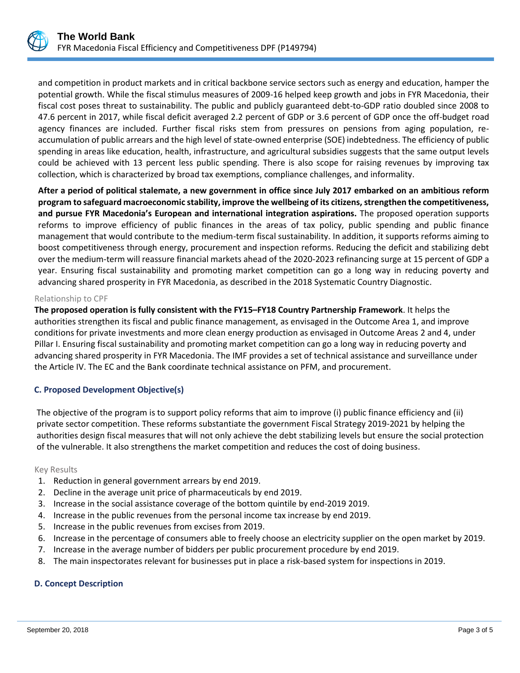

and competition in product markets and in critical backbone service sectors such as energy and education, hamper the potential growth. While the fiscal stimulus measures of 2009-16 helped keep growth and jobs in FYR Macedonia, their fiscal cost poses threat to sustainability. The public and publicly guaranteed debt-to-GDP ratio doubled since 2008 to 47.6 percent in 2017, while fiscal deficit averaged 2.2 percent of GDP or 3.6 percent of GDP once the off-budget road agency finances are included. Further fiscal risks stem from pressures on pensions from aging population, reaccumulation of public arrears and the high level of state-owned enterprise (SOE) indebtedness. The efficiency of public spending in areas like education, health, infrastructure, and agricultural subsidies suggests that the same output levels could be achieved with 13 percent less public spending. There is also scope for raising revenues by improving tax collection, which is characterized by broad tax exemptions, compliance challenges, and informality.

**After a period of political stalemate, a new government in office since July 2017 embarked on an ambitious reform program to safeguard macroeconomic stability, improve the wellbeing of its citizens, strengthen the competitiveness, and pursue FYR Macedonia's European and international integration aspirations.** The proposed operation supports reforms to improve efficiency of public finances in the areas of tax policy, public spending and public finance management that would contribute to the medium-term fiscal sustainability. In addition, it supports reforms aiming to boost competitiveness through energy, procurement and inspection reforms. Reducing the deficit and stabilizing debt over the medium-term will reassure financial markets ahead of the 2020-2023 refinancing surge at 15 percent of GDP a year. Ensuring fiscal sustainability and promoting market competition can go a long way in reducing poverty and advancing shared prosperity in FYR Macedonia, as described in the 2018 Systematic Country Diagnostic.

## Relationship to CPF

**The proposed operation is fully consistent with the FY15–FY18 Country Partnership Framework**. It helps the authorities strengthen its fiscal and public finance management, as envisaged in the Outcome Area 1, and improve conditions for private investments and more clean energy production as envisaged in Outcome Areas 2 and 4, under Pillar I. Ensuring fiscal sustainability and promoting market competition can go a long way in reducing poverty and advancing shared prosperity in FYR Macedonia. The IMF provides a set of technical assistance and surveillance under the Article IV. The EC and the Bank coordinate technical assistance on PFM, and procurement.

# **C. Proposed Development Objective(s)**

The objective of the program is to support policy reforms that aim to improve (i) public finance efficiency and (ii) private sector competition. These reforms substantiate the government Fiscal Strategy 2019-2021 by helping the authorities design fiscal measures that will not only achieve the debt stabilizing levels but ensure the social protection of the vulnerable. It also strengthens the market competition and reduces the cost of doing business.

## Key Results

- 1. Reduction in general government arrears by end 2019.
- 2. Decline in the average unit price of pharmaceuticals by end 2019.
- 3. Increase in the social assistance coverage of the bottom quintile by end-2019 2019.
- 4. Increase in the public revenues from the personal income tax increase by end 2019.
- 5. Increase in the public revenues from excises from 2019.
- 6. Increase in the percentage of consumers able to freely choose an electricity supplier on the open market by 2019.
- 7. Increase in the average number of bidders per public procurement procedure by end 2019.
- 8. The main inspectorates relevant for businesses put in place a risk-based system for inspections in 2019.

# **D. Concept Description**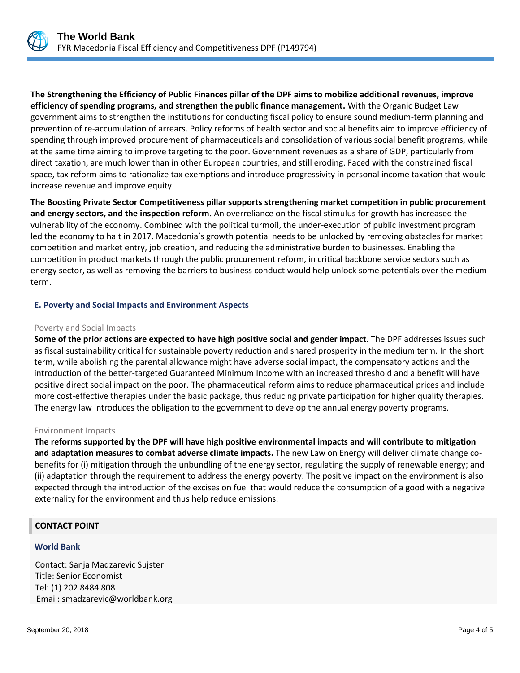

**The Strengthening the Efficiency of Public Finances pillar of the DPF aims to mobilize additional revenues, improve efficiency of spending programs, and strengthen the public finance management.** With the Organic Budget Law government aims to strengthen the institutions for conducting fiscal policy to ensure sound medium-term planning and prevention of re-accumulation of arrears. Policy reforms of health sector and social benefits aim to improve efficiency of spending through improved procurement of pharmaceuticals and consolidation of various social benefit programs, while at the same time aiming to improve targeting to the poor. Government revenues as a share of GDP, particularly from direct taxation, are much lower than in other European countries, and still eroding. Faced with the constrained fiscal space, tax reform aims to rationalize tax exemptions and introduce progressivity in personal income taxation that would increase revenue and improve equity.

**The Boosting Private Sector Competitiveness pillar supports strengthening market competition in public procurement and energy sectors, and the inspection reform.** An overreliance on the fiscal stimulus for growth has increased the vulnerability of the economy. Combined with the political turmoil, the under-execution of public investment program led the economy to halt in 2017. Macedonia's growth potential needs to be unlocked by removing obstacles for market competition and market entry, job creation, and reducing the administrative burden to businesses. Enabling the competition in product markets through the public procurement reform, in critical backbone service sectors such as energy sector, as well as removing the barriers to business conduct would help unlock some potentials over the medium term.

# **E. Poverty and Social Impacts and Environment Aspects**

# Poverty and Social Impacts

**Some of the prior actions are expected to have high positive social and gender impact**. The DPF addresses issues such as fiscal sustainability critical for sustainable poverty reduction and shared prosperity in the medium term. In the short term, while abolishing the parental allowance might have adverse social impact, the compensatory actions and the introduction of the better-targeted Guaranteed Minimum Income with an increased threshold and a benefit will have positive direct social impact on the poor. The pharmaceutical reform aims to reduce pharmaceutical prices and include more cost-effective therapies under the basic package, thus reducing private participation for higher quality therapies. The energy law introduces the obligation to the government to develop the annual energy poverty programs.

# Environment Impacts

**The reforms supported by the DPF will have high positive environmental impacts and will contribute to mitigation and adaptation measures to combat adverse climate impacts.** The new Law on Energy will deliver climate change cobenefits for (i) mitigation through the unbundling of the energy sector, regulating the supply of renewable energy; and (ii) adaptation through the requirement to address the energy poverty. The positive impact on the environment is also expected through the introduction of the excises on fuel that would reduce the consumption of a good with a negative externality for the environment and thus help reduce emissions.

# **CONTACT POINT**

# **World Bank**

.

Contact: Sanja Madzarevic Sujster Title: Senior Economist Tel: (1) 202 8484 808 Email: smadzarevic@worldbank.org